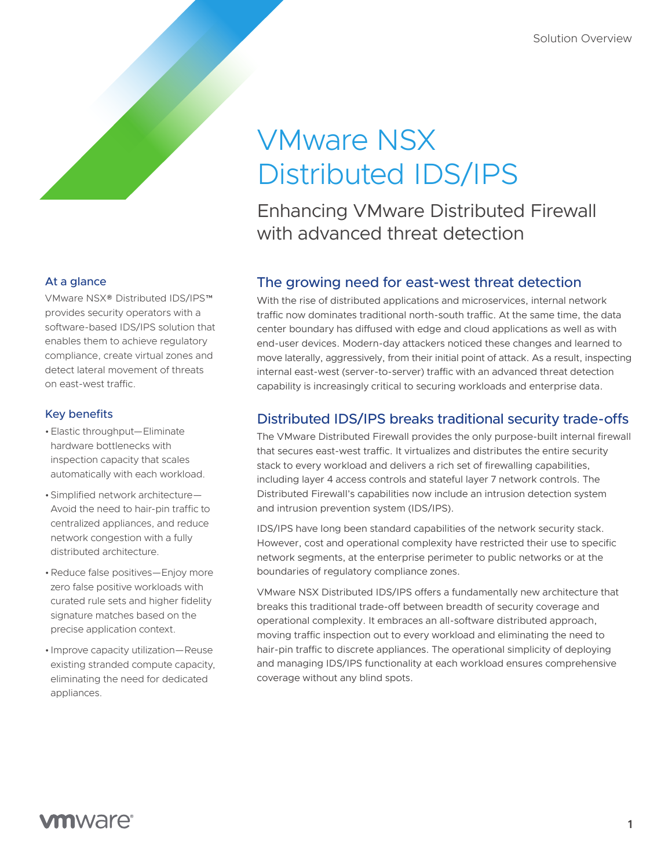# VMware NSX Distributed IDS/IPS

Enhancing VMware Distributed Firewall with advanced threat detection

# The growing need for east-west threat detection

With the rise of distributed applications and microservices, internal network traffic now dominates traditional north-south traffic. At the same time, the data center boundary has diffused with edge and cloud applications as well as with end-user devices. Modern-day attackers noticed these changes and learned to move laterally, aggressively, from their initial point of attack. As a result, inspecting internal east-west (server-to-server) traffic with an advanced threat detection capability is increasingly critical to securing workloads and enterprise data.

# Distributed IDS/IPS breaks traditional security trade-offs

The VMware Distributed Firewall provides the only purpose-built internal firewall that secures east-west traffic. It virtualizes and distributes the entire security stack to every workload and delivers a rich set of firewalling capabilities, including layer 4 access controls and stateful layer 7 network controls. The Distributed Firewall's capabilities now include an intrusion detection system and intrusion prevention system (IDS/IPS).

IDS/IPS have long been standard capabilities of the network security stack. However, cost and operational complexity have restricted their use to specific network segments, at the enterprise perimeter to public networks or at the boundaries of regulatory compliance zones.

VMware NSX Distributed IDS/IPS offers a fundamentally new architecture that breaks this traditional trade-off between breadth of security coverage and operational complexity. It embraces an all-software distributed approach, moving traffic inspection out to every workload and eliminating the need to hair-pin traffic to discrete appliances. The operational simplicity of deploying and managing IDS/IPS functionality at each workload ensures comprehensive coverage without any blind spots.

## At a glance

VMware NSX® Distributed IDS/IPS™ provides security operators with a software-based IDS/IPS solution that enables them to achieve regulatory compliance, create virtual zones and detect lateral movement of threats on east-west traffic.

## Key benefits

- •Elastic throughput—Eliminate hardware bottlenecks with inspection capacity that scales automatically with each workload.
- •Simplified network architecture— Avoid the need to hair-pin traffic to centralized appliances, and reduce network congestion with a fully distributed architecture.
- •Reduce false positives—Enjoy more zero false positive workloads with curated rule sets and higher fidelity signature matches based on the precise application context.
- Improve capacity utilization—Reuse existing stranded compute capacity, eliminating the need for dedicated appliances.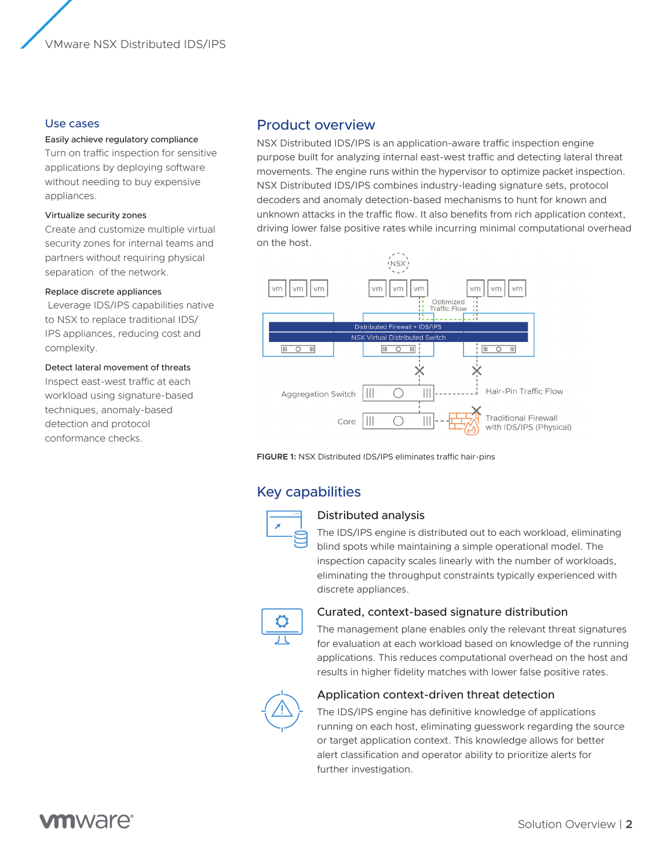## Use cases

#### Easily achieve regulatory compliance

Turn on traffic inspection for sensitive applications by deploying software without needing to buy expensive appliances.

#### Virtualize security zones

Create and customize multiple virtual security zones for internal teams and partners without requiring physical separation of the network.

#### Replace discrete appliances

 Leverage IDS/IPS capabilities native to NSX to replace traditional IDS/ IPS appliances, reducing cost and complexity.

#### Detect lateral movement of threats

Inspect east-west traffic at each workload using signature-based techniques, anomaly-based detection and protocol conformance checks.

## Product overview

NSX Distributed IDS/IPS is an application-aware traffic inspection engine purpose built for analyzing internal east-west traffic and detecting lateral threat movements. The engine runs within the hypervisor to optimize packet inspection. NSX Distributed IDS/IPS combines industry-leading signature sets, protocol decoders and anomaly detection-based mechanisms to hunt for known and unknown attacks in the traffic flow. It also benefits from rich application context, driving lower false positive rates while incurring minimal computational overhead on the host.



**FIGURE 1:** NSX Distributed IDS/IPS eliminates traffic hair-pins

## Key capabilities



#### Distributed analysis

The IDS/IPS engine is distributed out to each workload, eliminating blind spots while maintaining a simple operational model. The inspection capacity scales linearly with the number of workloads, eliminating the throughput constraints typically experienced with discrete appliances.



#### Curated, context-based signature distribution

The management plane enables only the relevant threat signatures for evaluation at each workload based on knowledge of the running applications. This reduces computational overhead on the host and results in higher fidelity matches with lower false positive rates.



### Application context-driven threat detection

The IDS/IPS engine has definitive knowledge of applications running on each host, eliminating guesswork regarding the source or target application context. This knowledge allows for better alert classification and operator ability to prioritize alerts for further investigation.